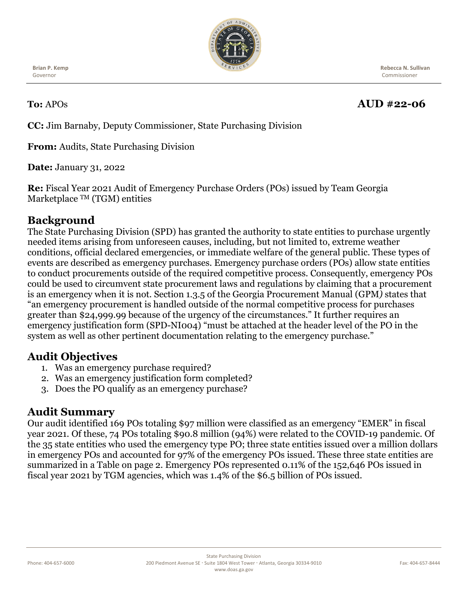

**Brian P. Kemp** Governor

 **Rebecca N. Sullivan** Commissioner

# **To:** APOs **AUD #22-06**

**CC:** Jim Barnaby, Deputy Commissioner, State Purchasing Division

**From:** Audits, State Purchasing Division

**Date:** January 31, 2022

**Re:** Fiscal Year 2021 Audit of Emergency Purchase Orders (POs) issued by Team Georgia Marketplace <sup>TM</sup> (TGM) entities

## **Background**

The State Purchasing Division (SPD) has granted the authority to state entities to purchase urgently needed items arising from unforeseen causes, including, but not limited to, extreme weather conditions, official declared emergencies, or immediate welfare of the general public. These types of events are described as emergency purchases. Emergency purchase orders (POs) allow state entities to conduct procurements outside of the required competitive process. Consequently, emergency POs could be used to circumvent state procurement laws and regulations by claiming that a procurement is an emergency when it is not. Section 1.3.5 of the Georgia Procurement Manual (GPM*)* states that "an emergency procurement is handled outside of the normal competitive process for purchases greater than \$24,999.99 because of the urgency of the circumstances." It further requires an emergency justification form (SPD-NI004) "must be attached at the header level of the PO in the system as well as other pertinent documentation relating to the emergency purchase."

### **Audit Objectives**

- 1. Was an emergency purchase required?
- 2. Was an emergency justification form completed?
- 3. Does the PO qualify as an emergency purchase?

### **Audit Summary**

Our audit identified 169 POs totaling \$97 million were classified as an emergency "EMER" in fiscal year 2021. Of these, 74 POs totaling \$90.8 million (94%) were related to the COVID-19 pandemic. Of the 35 state entities who used the emergency type PO; three state entities issued over a million dollars in emergency POs and accounted for 97% of the emergency POs issued. These three state entities are summarized in a Table on page 2. Emergency POs represented 0.11% of the 152,646 POs issued in fiscal year 2021 by TGM agencies, which was 1.4% of the \$6.5 billion of POs issued.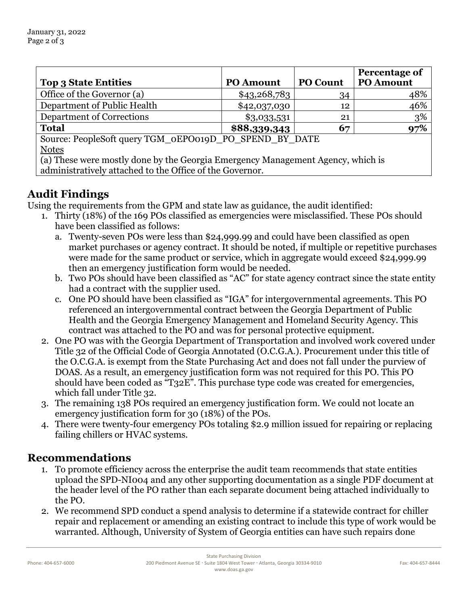|                                                                                 |                  |                 | Percentage of    |
|---------------------------------------------------------------------------------|------------------|-----------------|------------------|
| <b>Top 3 State Entities</b>                                                     | <b>PO Amount</b> | <b>PO Count</b> | <b>PO Amount</b> |
| Office of the Governor (a)                                                      | \$43,268,783     | 34              | 48%              |
| Department of Public Health                                                     | \$42,037,030     | 12              | 46%              |
| Department of Corrections                                                       | \$3,033,531      | 21              | 3%               |
| <b>Total</b>                                                                    | \$88,339,343     | 67              | 97%              |
| Source: PeopleSoft query TGM_0EPO019D_PO_SPEND BY DATE                          |                  |                 |                  |
| <b>Notes</b>                                                                    |                  |                 |                  |
| (a) These were mostly done by the Georgia Emergency Management Agency, which is |                  |                 |                  |
| administratively attached to the Office of the Governor.                        |                  |                 |                  |

#### **Audit Findings**

Using the requirements from the GPM and state law as guidance, the audit identified:

- 1. Thirty (18%) of the 169 POs classified as emergencies were misclassified. These POs should have been classified as follows:
	- a. Twenty-seven POs were less than \$24,999.99 and could have been classified as open market purchases or agency contract. It should be noted, if multiple or repetitive purchases were made for the same product or service, which in aggregate would exceed \$24,999.99 then an emergency justification form would be needed.
	- b. Two POs should have been classified as "AC" for state agency contract since the state entity had a contract with the supplier used.
	- c. One PO should have been classified as "IGA" for intergovernmental agreements. This PO referenced an intergovernmental contract between the Georgia Department of Public Health and the Georgia Emergency Management and Homeland Security Agency. This contract was attached to the PO and was for personal protective equipment.
- 2. One PO was with the Georgia Department of Transportation and involved work covered under Title 32 of the Official Code of Georgia Annotated (O.C.G.A.). Procurement under this title of the O.C.G.A. is exempt from the State Purchasing Act and does not fall under the purview of DOAS. As a result, an emergency justification form was not required for this PO. This PO should have been coded as "T32E". This purchase type code was created for emergencies, which fall under Title 32.
- 3. The remaining 138 POs required an emergency justification form. We could not locate an emergency justification form for 30 (18%) of the POs.
- 4. There were twenty-four emergency POs totaling \$2.9 million issued for repairing or replacing failing chillers or HVAC systems.

#### **Recommendations**

- 1. To promote efficiency across the enterprise the audit team recommends that state entities upload the SPD-NI004 and any other supporting documentation as a single PDF document at the header level of the PO rather than each separate document being attached individually to the PO.
- 2. We recommend SPD conduct a spend analysis to determine if a statewide contract for chiller repair and replacement or amending an existing contract to include this type of work would be warranted. Although, University of System of Georgia entities can have such repairs done